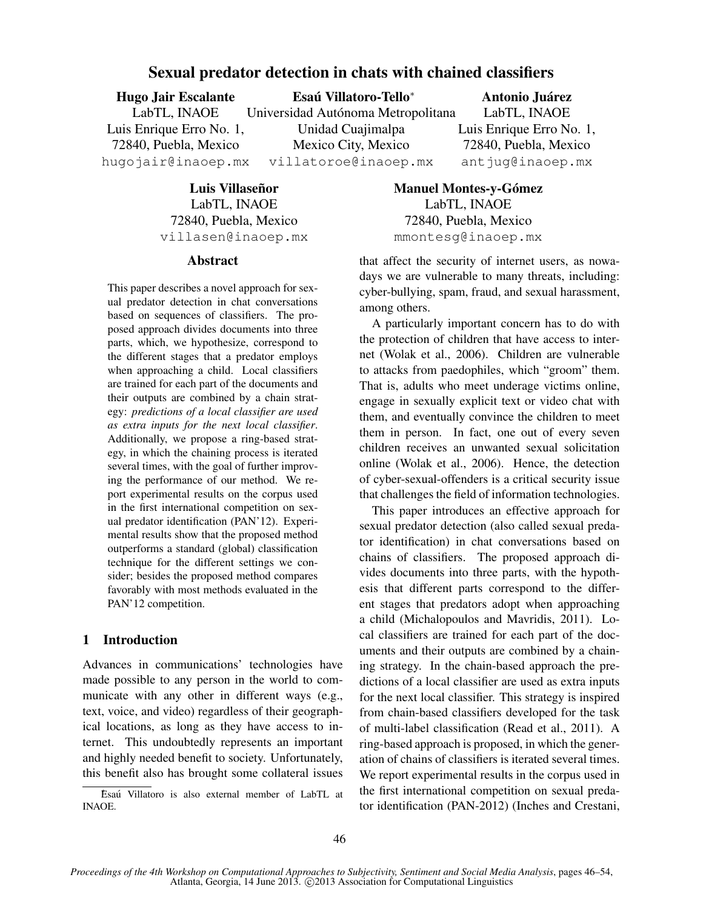# Sexual predator detection in chats with chained classifiers

Hugo Jair Escalante LabTL, INAOE Luis Enrique Erro No. 1, 72840, Puebla, Mexico hugojair@inaoep.mx Esaú Villatoro-Tello<sup>\*</sup> Universidad Autónoma Metropolitana Unidad Cuajimalpa Mexico City, Mexico villatoroe@inaoep.mx Antonio Juarez ´ LabTL, INAOE Luis Enrique Erro No. 1, 72840, Puebla, Mexico antjug@inaoep.mx

> Luis Villaseñor LabTL, INAOE 72840, Puebla, Mexico villasen@inaoep.mx

#### Abstract

This paper describes a novel approach for sexual predator detection in chat conversations based on sequences of classifiers. The proposed approach divides documents into three parts, which, we hypothesize, correspond to the different stages that a predator employs when approaching a child. Local classifiers are trained for each part of the documents and their outputs are combined by a chain strategy: *predictions of a local classifier are used as extra inputs for the next local classifier*. Additionally, we propose a ring-based strategy, in which the chaining process is iterated several times, with the goal of further improving the performance of our method. We report experimental results on the corpus used in the first international competition on sexual predator identification (PAN'12). Experimental results show that the proposed method outperforms a standard (global) classification technique for the different settings we consider; besides the proposed method compares favorably with most methods evaluated in the PAN'12 competition.

# 1 Introduction

Advances in communications' technologies have made possible to any person in the world to communicate with any other in different ways (e.g., text, voice, and video) regardless of their geographical locations, as long as they have access to internet. This undoubtedly represents an important and highly needed benefit to society. Unfortunately, this benefit also has brought some collateral issues

Manuel Montes-y-Gómez LabTL, INAOE 72840, Puebla, Mexico mmontesg@inaoep.mx

that affect the security of internet users, as nowadays we are vulnerable to many threats, including: cyber-bullying, spam, fraud, and sexual harassment, among others.

A particularly important concern has to do with the protection of children that have access to internet (Wolak et al., 2006). Children are vulnerable to attacks from paedophiles, which "groom" them. That is, adults who meet underage victims online, engage in sexually explicit text or video chat with them, and eventually convince the children to meet them in person. In fact, one out of every seven children receives an unwanted sexual solicitation online (Wolak et al., 2006). Hence, the detection of cyber-sexual-offenders is a critical security issue that challenges the field of information technologies.

This paper introduces an effective approach for sexual predator detection (also called sexual predator identification) in chat conversations based on chains of classifiers. The proposed approach divides documents into three parts, with the hypothesis that different parts correspond to the different stages that predators adopt when approaching a child (Michalopoulos and Mavridis, 2011). Local classifiers are trained for each part of the documents and their outputs are combined by a chaining strategy. In the chain-based approach the predictions of a local classifier are used as extra inputs for the next local classifier. This strategy is inspired from chain-based classifiers developed for the task of multi-label classification (Read et al., 2011). A ring-based approach is proposed, in which the generation of chains of classifiers is iterated several times. We report experimental results in the corpus used in the first international competition on sexual predator identification (PAN-2012) (Inches and Crestani,

Esaú Villatoro is also external member of LabTL at INAOE.

*Proceedings of the 4th Workshop on Computational Approaches to Subjectivity, Sentiment and Social Media Analysis*, pages 46–54, Atlanta, Georgia, 14 June 2013. ©2013 Association for Computational Linguistics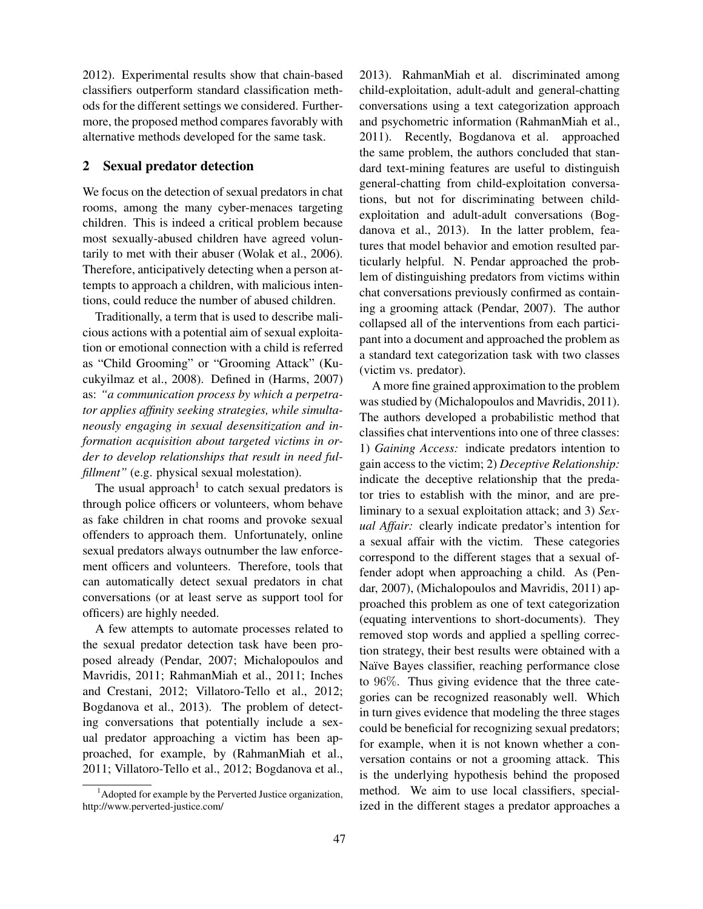2012). Experimental results show that chain-based classifiers outperform standard classification methods for the different settings we considered. Furthermore, the proposed method compares favorably with alternative methods developed for the same task.

## 2 Sexual predator detection

We focus on the detection of sexual predators in chat rooms, among the many cyber-menaces targeting children. This is indeed a critical problem because most sexually-abused children have agreed voluntarily to met with their abuser (Wolak et al., 2006). Therefore, anticipatively detecting when a person attempts to approach a children, with malicious intentions, could reduce the number of abused children.

Traditionally, a term that is used to describe malicious actions with a potential aim of sexual exploitation or emotional connection with a child is referred as "Child Grooming" or "Grooming Attack" (Kucukyilmaz et al., 2008). Defined in (Harms, 2007) as: *"a communication process by which a perpetrator applies affinity seeking strategies, while simultaneously engaging in sexual desensitization and information acquisition about targeted victims in order to develop relationships that result in need fulfillment"* (e.g. physical sexual molestation).

The usual approach<sup>1</sup> to catch sexual predators is through police officers or volunteers, whom behave as fake children in chat rooms and provoke sexual offenders to approach them. Unfortunately, online sexual predators always outnumber the law enforcement officers and volunteers. Therefore, tools that can automatically detect sexual predators in chat conversations (or at least serve as support tool for officers) are highly needed.

A few attempts to automate processes related to the sexual predator detection task have been proposed already (Pendar, 2007; Michalopoulos and Mavridis, 2011; RahmanMiah et al., 2011; Inches and Crestani, 2012; Villatoro-Tello et al., 2012; Bogdanova et al., 2013). The problem of detecting conversations that potentially include a sexual predator approaching a victim has been approached, for example, by (RahmanMiah et al., 2011; Villatoro-Tello et al., 2012; Bogdanova et al., 2013). RahmanMiah et al. discriminated among child-exploitation, adult-adult and general-chatting conversations using a text categorization approach and psychometric information (RahmanMiah et al., 2011). Recently, Bogdanova et al. approached the same problem, the authors concluded that standard text-mining features are useful to distinguish general-chatting from child-exploitation conversations, but not for discriminating between childexploitation and adult-adult conversations (Bogdanova et al., 2013). In the latter problem, features that model behavior and emotion resulted particularly helpful. N. Pendar approached the problem of distinguishing predators from victims within chat conversations previously confirmed as containing a grooming attack (Pendar, 2007). The author collapsed all of the interventions from each participant into a document and approached the problem as a standard text categorization task with two classes (victim vs. predator).

A more fine grained approximation to the problem was studied by (Michalopoulos and Mavridis, 2011). The authors developed a probabilistic method that classifies chat interventions into one of three classes: 1) *Gaining Access:* indicate predators intention to gain access to the victim; 2) *Deceptive Relationship:* indicate the deceptive relationship that the predator tries to establish with the minor, and are preliminary to a sexual exploitation attack; and 3) *Sexual Affair:* clearly indicate predator's intention for a sexual affair with the victim. These categories correspond to the different stages that a sexual offender adopt when approaching a child. As (Pendar, 2007), (Michalopoulos and Mavridis, 2011) approached this problem as one of text categorization (equating interventions to short-documents). They removed stop words and applied a spelling correction strategy, their best results were obtained with a Naïve Bayes classifier, reaching performance close to 96%. Thus giving evidence that the three categories can be recognized reasonably well. Which in turn gives evidence that modeling the three stages could be beneficial for recognizing sexual predators; for example, when it is not known whether a conversation contains or not a grooming attack. This is the underlying hypothesis behind the proposed method. We aim to use local classifiers, specialized in the different stages a predator approaches a

 $<sup>1</sup>$ Adopted for example by the Perverted Justice organization,</sup> http://www.perverted-justice.com/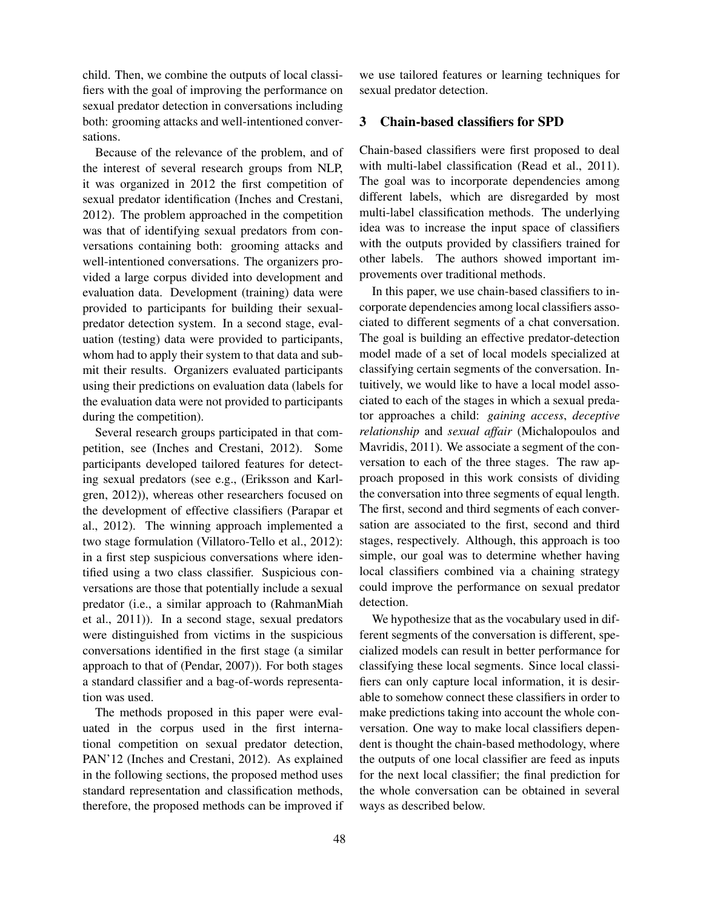child. Then, we combine the outputs of local classifiers with the goal of improving the performance on sexual predator detection in conversations including both: grooming attacks and well-intentioned conversations.

Because of the relevance of the problem, and of the interest of several research groups from NLP, it was organized in 2012 the first competition of sexual predator identification (Inches and Crestani, 2012). The problem approached in the competition was that of identifying sexual predators from conversations containing both: grooming attacks and well-intentioned conversations. The organizers provided a large corpus divided into development and evaluation data. Development (training) data were provided to participants for building their sexualpredator detection system. In a second stage, evaluation (testing) data were provided to participants, whom had to apply their system to that data and submit their results. Organizers evaluated participants using their predictions on evaluation data (labels for the evaluation data were not provided to participants during the competition).

Several research groups participated in that competition, see (Inches and Crestani, 2012). Some participants developed tailored features for detecting sexual predators (see e.g., (Eriksson and Karlgren, 2012)), whereas other researchers focused on the development of effective classifiers (Parapar et al., 2012). The winning approach implemented a two stage formulation (Villatoro-Tello et al., 2012): in a first step suspicious conversations where identified using a two class classifier. Suspicious conversations are those that potentially include a sexual predator (i.e., a similar approach to (RahmanMiah et al., 2011)). In a second stage, sexual predators were distinguished from victims in the suspicious conversations identified in the first stage (a similar approach to that of (Pendar, 2007)). For both stages a standard classifier and a bag-of-words representation was used.

The methods proposed in this paper were evaluated in the corpus used in the first international competition on sexual predator detection, PAN'12 (Inches and Crestani, 2012). As explained in the following sections, the proposed method uses standard representation and classification methods, therefore, the proposed methods can be improved if we use tailored features or learning techniques for sexual predator detection.

# 3 Chain-based classifiers for SPD

Chain-based classifiers were first proposed to deal with multi-label classification (Read et al., 2011). The goal was to incorporate dependencies among different labels, which are disregarded by most multi-label classification methods. The underlying idea was to increase the input space of classifiers with the outputs provided by classifiers trained for other labels. The authors showed important improvements over traditional methods.

In this paper, we use chain-based classifiers to incorporate dependencies among local classifiers associated to different segments of a chat conversation. The goal is building an effective predator-detection model made of a set of local models specialized at classifying certain segments of the conversation. Intuitively, we would like to have a local model associated to each of the stages in which a sexual predator approaches a child: *gaining access*, *deceptive relationship* and *sexual affair* (Michalopoulos and Mavridis, 2011). We associate a segment of the conversation to each of the three stages. The raw approach proposed in this work consists of dividing the conversation into three segments of equal length. The first, second and third segments of each conversation are associated to the first, second and third stages, respectively. Although, this approach is too simple, our goal was to determine whether having local classifiers combined via a chaining strategy could improve the performance on sexual predator detection.

We hypothesize that as the vocabulary used in different segments of the conversation is different, specialized models can result in better performance for classifying these local segments. Since local classifiers can only capture local information, it is desirable to somehow connect these classifiers in order to make predictions taking into account the whole conversation. One way to make local classifiers dependent is thought the chain-based methodology, where the outputs of one local classifier are feed as inputs for the next local classifier; the final prediction for the whole conversation can be obtained in several ways as described below.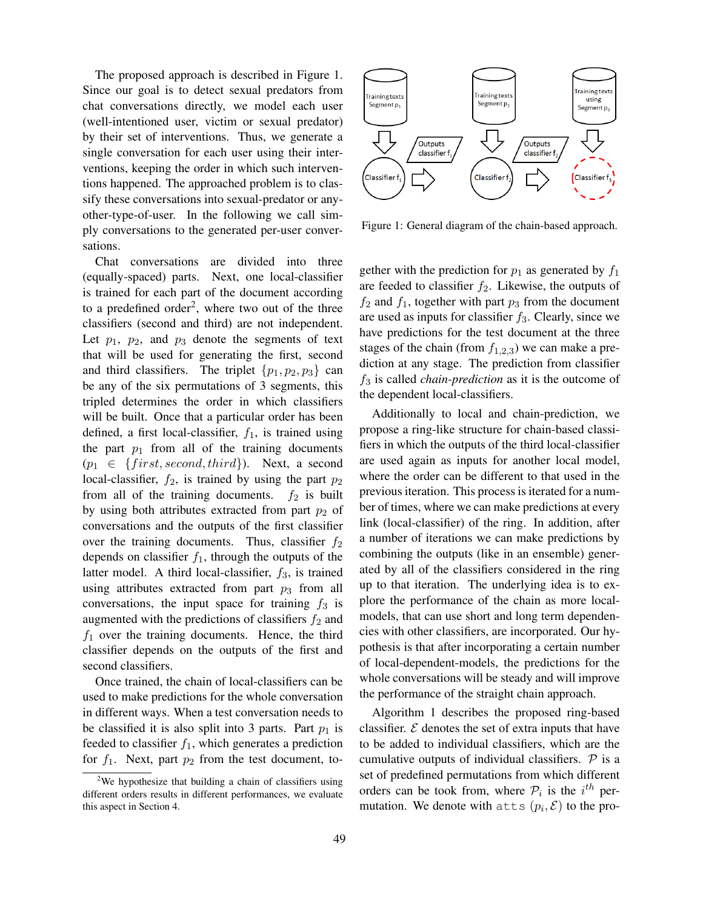The proposed approach is described in Figure 1. Since our goal is to detect sexual predators from chat conversations directly, we model each user (well-intentioned user, victim or sexual predator) by their set of interventions. Thus, we generate a single conversation for each user using their interventions, keeping the order in which such interventions happened. The approached problem is to classify these conversations into sexual-predator or anyother-type-of-user. In the following we call simply conversations to the generated per-user conversations.

Chat conversations are divided into three (equally-spaced) parts. Next, one local-classifier is trained for each part of the document according to a predefined order<sup>2</sup>, where two out of the three classifiers (second and third) are not independent. Let  $p_1$ ,  $p_2$ , and  $p_3$  denote the segments of text that will be used for generating the first, second and third classifiers. The triplet  $\{p_1, p_2, p_3\}$  can be any of the six permutations of 3 segments, this tripled determines the order in which classifiers will be built. Once that a particular order has been defined, a first local-classifier,  $f_1$ , is trained using the part  $p_1$  from all of the training documents  $(p_1 \in \{first, second, third\})$ . Next, a second local-classifier,  $f_2$ , is trained by using the part  $p_2$ from all of the training documents.  $f_2$  is built by using both attributes extracted from part  $p_2$  of conversations and the outputs of the first classifier over the training documents. Thus, classifier  $f_2$ depends on classifier  $f_1$ , through the outputs of the latter model. A third local-classifier,  $f_3$ , is trained using attributes extracted from part  $p_3$  from all conversations, the input space for training  $f_3$  is augmented with the predictions of classifiers  $f_2$  and  $f_1$  over the training documents. Hence, the third classifier depends on the outputs of the first and second classifiers.

Once trained, the chain of local-classifiers can be used to make predictions for the whole conversation in different ways. When a test conversation needs to be classified it is also split into 3 parts. Part  $p_1$  is feeded to classifier  $f_1$ , which generates a prediction for  $f_1$ . Next, part  $p_2$  from the test document, to-



Figure 1: General diagram of the chain-based approach.

gether with the prediction for  $p_1$  as generated by  $f_1$ are feeded to classifier  $f_2$ . Likewise, the outputs of  $f_2$  and  $f_1$ , together with part  $p_3$  from the document are used as inputs for classifier  $f_3$ . Clearly, since we have predictions for the test document at the three stages of the chain (from  $f_{1,2,3}$ ) we can make a prediction at any stage. The prediction from classifier  $f_3$  is called *chain-prediction* as it is the outcome of the dependent local-classifiers.

Additionally to local and chain-prediction, we propose a ring-like structure for chain-based classifiers in which the outputs of the third local-classifier are used again as inputs for another local model, where the order can be different to that used in the previous iteration. This process is iterated for a number of times, where we can make predictions at every link (local-classifier) of the ring. In addition, after a number of iterations we can make predictions by combining the outputs (like in an ensemble) generated by all of the classifiers considered in the ring up to that iteration. The underlying idea is to explore the performance of the chain as more localmodels, that can use short and long term dependencies with other classifiers, are incorporated. Our hypothesis is that after incorporating a certain number of local-dependent-models, the predictions for the whole conversations will be steady and will improve the performance of the straight chain approach.

Algorithm 1 describes the proposed ring-based classifier.  $\mathcal E$  denotes the set of extra inputs that have to be added to individual classifiers, which are the cumulative outputs of individual classifiers.  $P$  is a set of predefined permutations from which different orders can be took from, where  $P_i$  is the  $i^{th}$  permutation. We denote with  $z$ tts  $(p_i, \mathcal{E})$  to the pro-

<sup>&</sup>lt;sup>2</sup>We hypothesize that building a chain of classifiers using different orders results in different performances, we evaluate this aspect in Section 4.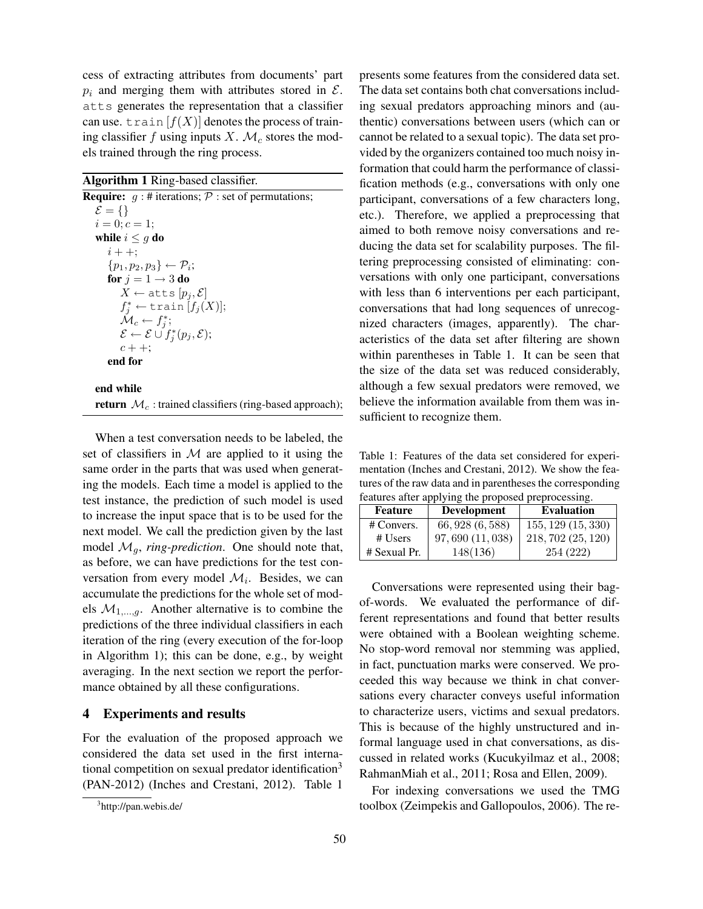cess of extracting attributes from documents' part  $p_i$  and merging them with attributes stored in  $\mathcal{E}$ . atts generates the representation that a classifier can use. train  $[f(X)]$  denotes the process of training classifier f using inputs X.  $\mathcal{M}_c$  stores the models trained through the ring process.

| Algorithm 1 Ring-based classifier. |  |  |
|------------------------------------|--|--|
|------------------------------------|--|--|

**Require:**  $q : #$  iterations;  $P :$  set of permutations;  $\mathcal{E} = \{\}$  $i = 0; c = 1;$ while  $i \leq g$  do  $i + +$ ;  $\{p_1, p_2, p_3\} \leftarrow \mathcal{P}_i;$ for  $j = 1 \rightarrow 3$  do  $X \leftarrow$  atts  $[p_i, \mathcal{E}]$  $f_j^* \leftarrow \texttt{train}[f_j(X)];$  $\mathcal{\check{M}}_c \leftarrow f^*_j;$  $\mathcal{E} \leftarrow \mathcal{E} \cup f_j^*(p_j, \mathcal{E});$  $c + +;$ end for

# end while return  $\mathcal{M}_c$ : trained classifiers (ring-based approach);

When a test conversation needs to be labeled, the set of classifiers in  $M$  are applied to it using the same order in the parts that was used when generating the models. Each time a model is applied to the test instance, the prediction of such model is used to increase the input space that is to be used for the next model. We call the prediction given by the last model  $\mathcal{M}_q$ , *ring-prediction*. One should note that, as before, we can have predictions for the test conversation from every model  $\mathcal{M}_i$ . Besides, we can accumulate the predictions for the whole set of models  $M_{1,\dots,q}$ . Another alternative is to combine the predictions of the three individual classifiers in each iteration of the ring (every execution of the for-loop in Algorithm 1); this can be done, e.g., by weight averaging. In the next section we report the performance obtained by all these configurations.

# 4 Experiments and results

For the evaluation of the proposed approach we considered the data set used in the first international competition on sexual predator identification<sup>3</sup> (PAN-2012) (Inches and Crestani, 2012). Table 1

presents some features from the considered data set. The data set contains both chat conversations including sexual predators approaching minors and (authentic) conversations between users (which can or cannot be related to a sexual topic). The data set provided by the organizers contained too much noisy information that could harm the performance of classification methods (e.g., conversations with only one participant, conversations of a few characters long, etc.). Therefore, we applied a preprocessing that aimed to both remove noisy conversations and reducing the data set for scalability purposes. The filtering preprocessing consisted of eliminating: conversations with only one participant, conversations with less than 6 interventions per each participant, conversations that had long sequences of unrecognized characters (images, apparently). The characteristics of the data set after filtering are shown within parentheses in Table 1. It can be seen that the size of the data set was reduced considerably, although a few sexual predators were removed, we believe the information available from them was insufficient to recognize them.

Table 1: Features of the data set considered for experimentation (Inches and Crestani, 2012). We show the features of the raw data and in parentheses the corresponding features after applying the proposed preprocessing.

| <b>Feature</b> | <b>Development</b> | <b>Evaluation</b>      |
|----------------|--------------------|------------------------|
| # Convers.     | 66, 928 (6, 588)   | $155, 129 \ (15, 330)$ |
| $#$ Users      | 97,690 (11,038)    | 218, 702 (25, 120)     |
| # Sexual Pr.   | 148(136)           | 254 (222)              |

Conversations were represented using their bagof-words. We evaluated the performance of different representations and found that better results were obtained with a Boolean weighting scheme. No stop-word removal nor stemming was applied, in fact, punctuation marks were conserved. We proceeded this way because we think in chat conversations every character conveys useful information to characterize users, victims and sexual predators. This is because of the highly unstructured and informal language used in chat conversations, as discussed in related works (Kucukyilmaz et al., 2008; RahmanMiah et al., 2011; Rosa and Ellen, 2009).

For indexing conversations we used the TMG toolbox (Zeimpekis and Gallopoulos, 2006). The re-

<sup>&</sup>lt;sup>3</sup>http://pan.webis.de/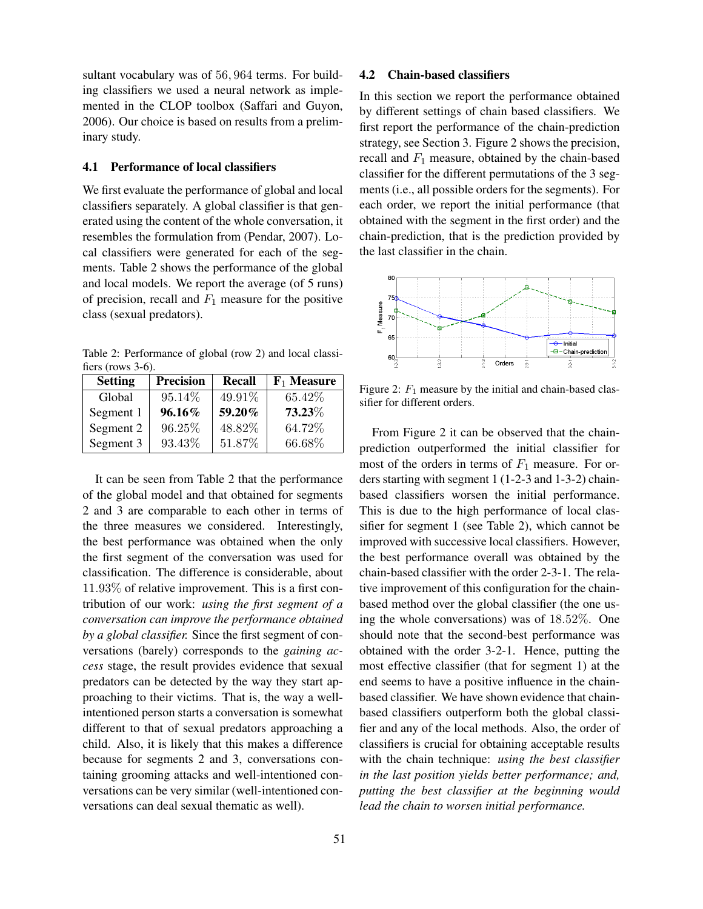sultant vocabulary was of 56, 964 terms. For building classifiers we used a neural network as implemented in the CLOP toolbox (Saffari and Guyon, 2006). Our choice is based on results from a preliminary study.

# 4.1 Performance of local classifiers

We first evaluate the performance of global and local classifiers separately. A global classifier is that generated using the content of the whole conversation, it resembles the formulation from (Pendar, 2007). Local classifiers were generated for each of the segments. Table 2 shows the performance of the global and local models. We report the average (of 5 runs) of precision, recall and  $F_1$  measure for the positive class (sexual predators).

Table 2: Performance of global (row 2) and local classifiers (rows 3-6).

| <b>Setting</b> | <b>Precision</b> | <b>Recall</b> | $F_1$ Measure |
|----------------|------------------|---------------|---------------|
| Global         | 95.14%           | 49.91%        | 65.42%        |
| Segment 1      | 96.16%           | 59.20%        | 73.23%        |
| Segment 2      | 96.25%           | 48.82%        | 64.72%        |
| Segment 3      | 93.43%           | 51.87%        | 66.68%        |

It can be seen from Table 2 that the performance of the global model and that obtained for segments 2 and 3 are comparable to each other in terms of the three measures we considered. Interestingly, the best performance was obtained when the only the first segment of the conversation was used for classification. The difference is considerable, about 11.93% of relative improvement. This is a first contribution of our work: *using the first segment of a conversation can improve the performance obtained by a global classifier.* Since the first segment of conversations (barely) corresponds to the *gaining access* stage, the result provides evidence that sexual predators can be detected by the way they start approaching to their victims. That is, the way a wellintentioned person starts a conversation is somewhat different to that of sexual predators approaching a child. Also, it is likely that this makes a difference because for segments 2 and 3, conversations containing grooming attacks and well-intentioned conversations can be very similar (well-intentioned conversations can deal sexual thematic as well).

#### 4.2 Chain-based classifiers

In this section we report the performance obtained by different settings of chain based classifiers. We first report the performance of the chain-prediction strategy, see Section 3. Figure 2 shows the precision, recall and  $F_1$  measure, obtained by the chain-based classifier for the different permutations of the 3 segments (i.e., all possible orders for the segments). For each order, we report the initial performance (that obtained with the segment in the first order) and the chain-prediction, that is the prediction provided by the last classifier in the chain.



Figure 2:  $F_1$  measure by the initial and chain-based classifier for different orders.

From Figure 2 it can be observed that the chainprediction outperformed the initial classifier for most of the orders in terms of  $F_1$  measure. For orders starting with segment 1 (1-2-3 and 1-3-2) chainbased classifiers worsen the initial performance. This is due to the high performance of local classifier for segment 1 (see Table 2), which cannot be improved with successive local classifiers. However, the best performance overall was obtained by the chain-based classifier with the order 2-3-1. The relative improvement of this configuration for the chainbased method over the global classifier (the one using the whole conversations) was of 18.52%. One should note that the second-best performance was obtained with the order 3-2-1. Hence, putting the most effective classifier (that for segment 1) at the end seems to have a positive influence in the chainbased classifier. We have shown evidence that chainbased classifiers outperform both the global classifier and any of the local methods. Also, the order of classifiers is crucial for obtaining acceptable results with the chain technique: *using the best classifier in the last position yields better performance; and, putting the best classifier at the beginning would lead the chain to worsen initial performance.*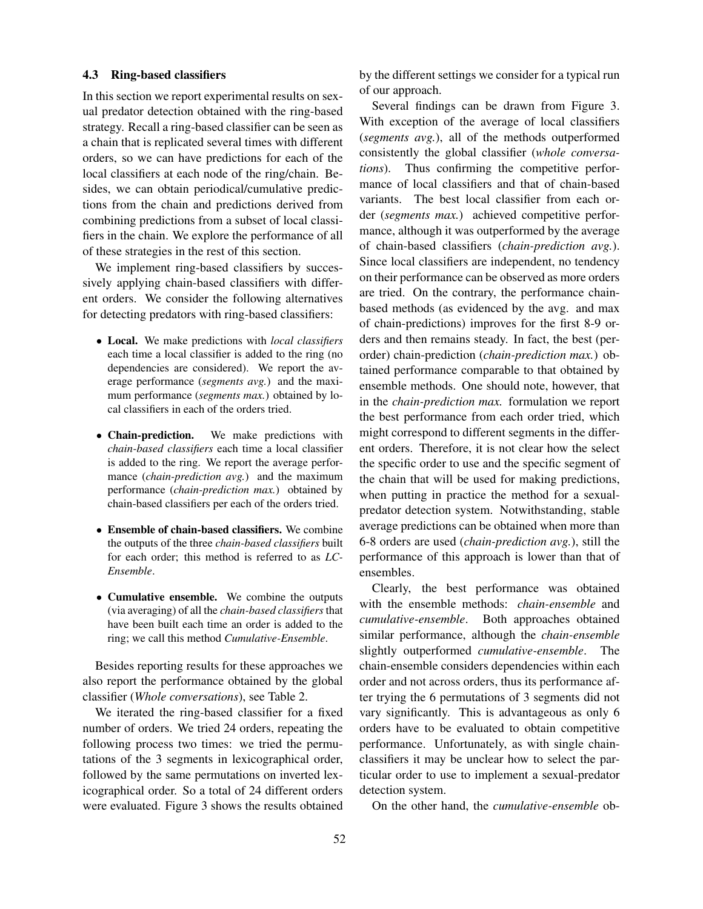#### 4.3 Ring-based classifiers

In this section we report experimental results on sexual predator detection obtained with the ring-based strategy. Recall a ring-based classifier can be seen as a chain that is replicated several times with different orders, so we can have predictions for each of the local classifiers at each node of the ring/chain. Besides, we can obtain periodical/cumulative predictions from the chain and predictions derived from combining predictions from a subset of local classifiers in the chain. We explore the performance of all of these strategies in the rest of this section.

We implement ring-based classifiers by successively applying chain-based classifiers with different orders. We consider the following alternatives for detecting predators with ring-based classifiers:

- Local. We make predictions with *local classifiers* each time a local classifier is added to the ring (no dependencies are considered). We report the average performance (*segments avg.*) and the maximum performance (*segments max.*) obtained by local classifiers in each of the orders tried.
- Chain-prediction. We make predictions with *chain-based classifiers* each time a local classifier is added to the ring. We report the average performance (*chain-prediction avg.*) and the maximum performance (*chain-prediction max.*) obtained by chain-based classifiers per each of the orders tried.
- Ensemble of chain-based classifiers. We combine the outputs of the three *chain-based classifiers* built for each order; this method is referred to as *LC-Ensemble*.
- Cumulative ensemble. We combine the outputs (via averaging) of all the *chain-based classifiers* that have been built each time an order is added to the ring; we call this method *Cumulative-Ensemble*.

Besides reporting results for these approaches we also report the performance obtained by the global classifier (*Whole conversations*), see Table 2.

We iterated the ring-based classifier for a fixed number of orders. We tried 24 orders, repeating the following process two times: we tried the permutations of the 3 segments in lexicographical order, followed by the same permutations on inverted lexicographical order. So a total of 24 different orders were evaluated. Figure 3 shows the results obtained by the different settings we consider for a typical run of our approach.

Several findings can be drawn from Figure 3. With exception of the average of local classifiers (*segments avg.*), all of the methods outperformed consistently the global classifier (*whole conversations*). Thus confirming the competitive performance of local classifiers and that of chain-based variants. The best local classifier from each order (*segments max.*) achieved competitive performance, although it was outperformed by the average of chain-based classifiers (*chain-prediction avg.*). Since local classifiers are independent, no tendency on their performance can be observed as more orders are tried. On the contrary, the performance chainbased methods (as evidenced by the avg. and max of chain-predictions) improves for the first 8-9 orders and then remains steady. In fact, the best (perorder) chain-prediction (*chain-prediction max.*) obtained performance comparable to that obtained by ensemble methods. One should note, however, that in the *chain-prediction max.* formulation we report the best performance from each order tried, which might correspond to different segments in the different orders. Therefore, it is not clear how the select the specific order to use and the specific segment of the chain that will be used for making predictions, when putting in practice the method for a sexualpredator detection system. Notwithstanding, stable average predictions can be obtained when more than 6-8 orders are used (*chain-prediction avg.*), still the performance of this approach is lower than that of ensembles.

Clearly, the best performance was obtained with the ensemble methods: *chain-ensemble* and *cumulative-ensemble*. Both approaches obtained similar performance, although the *chain-ensemble* slightly outperformed *cumulative-ensemble*. The chain-ensemble considers dependencies within each order and not across orders, thus its performance after trying the 6 permutations of 3 segments did not vary significantly. This is advantageous as only 6 orders have to be evaluated to obtain competitive performance. Unfortunately, as with single chainclassifiers it may be unclear how to select the particular order to use to implement a sexual-predator detection system.

On the other hand, the *cumulative-ensemble* ob-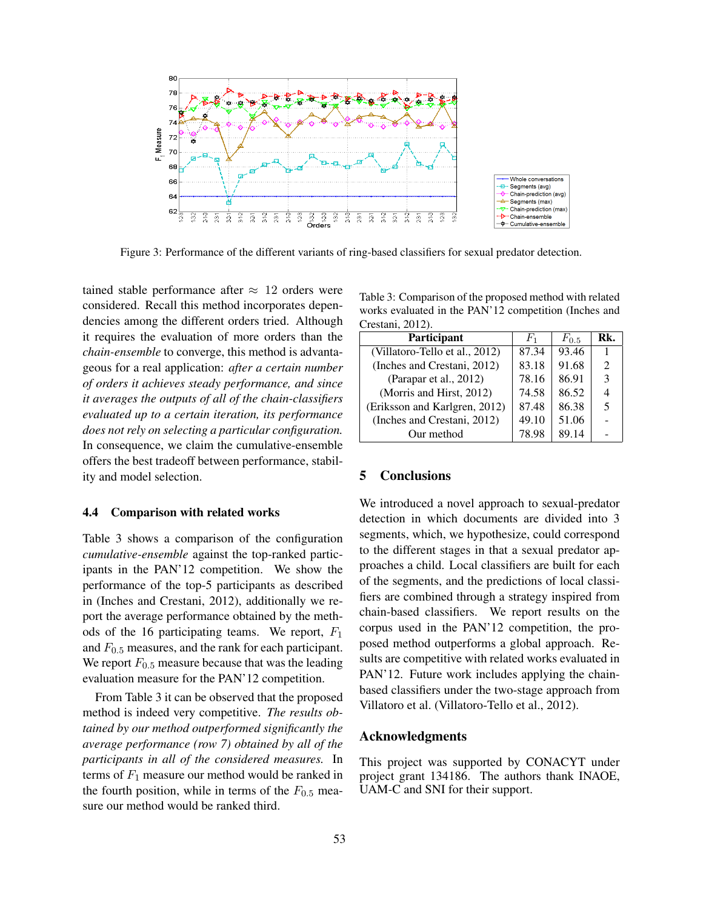

Figure 3: Performance of the different variants of ring-based classifiers for sexual predator detection.

tained stable performance after  $\approx$  12 orders were considered. Recall this method incorporates dependencies among the different orders tried. Although it requires the evaluation of more orders than the *chain-ensemble* to converge, this method is advantageous for a real application: *after a certain number of orders it achieves steady performance, and since it averages the outputs of all of the chain-classifiers evaluated up to a certain iteration, its performance does not rely on selecting a particular configuration.* In consequence, we claim the cumulative-ensemble offers the best tradeoff between performance, stability and model selection.

#### 4.4 Comparison with related works

Table 3 shows a comparison of the configuration *cumulative-ensemble* against the top-ranked participants in the PAN'12 competition. We show the performance of the top-5 participants as described in (Inches and Crestani, 2012), additionally we report the average performance obtained by the methods of the 16 participating teams. We report,  $F_1$ and  $F_{0.5}$  measures, and the rank for each participant. We report  $F_{0.5}$  measure because that was the leading evaluation measure for the PAN'12 competition.

From Table 3 it can be observed that the proposed method is indeed very competitive. *The results obtained by our method outperformed significantly the average performance (row 7) obtained by all of the participants in all of the considered measures.* In terms of  $F_1$  measure our method would be ranked in the fourth position, while in terms of the  $F_{0.5}$  measure our method would be ranked third.

Table 3: Comparison of the proposed method with related works evaluated in the PAN'12 competition (Inches and Crestani, 2012).

| $C_{\rm LOMIII}$ , $\angle 012L$ |           |                |  |  |  |
|----------------------------------|-----------|----------------|--|--|--|
| $F_{1}$                          | $F_{0.5}$ | Rk.            |  |  |  |
| 87.34                            | 93.46     |                |  |  |  |
| 83.18                            | 91.68     | $\mathfrak{D}$ |  |  |  |
| 78.16                            | 86.91     | 3              |  |  |  |
| 74.58                            | 86.52     | $\overline{4}$ |  |  |  |
| 87.48                            | 86.38     | .5             |  |  |  |
| 49.10                            | 51.06     |                |  |  |  |
| 78.98                            | 89.14     |                |  |  |  |
|                                  |           |                |  |  |  |

#### 5 Conclusions

We introduced a novel approach to sexual-predator detection in which documents are divided into 3 segments, which, we hypothesize, could correspond to the different stages in that a sexual predator approaches a child. Local classifiers are built for each of the segments, and the predictions of local classifiers are combined through a strategy inspired from chain-based classifiers. We report results on the corpus used in the PAN'12 competition, the proposed method outperforms a global approach. Results are competitive with related works evaluated in PAN'12. Future work includes applying the chainbased classifiers under the two-stage approach from Villatoro et al. (Villatoro-Tello et al., 2012).

#### Acknowledgments

This project was supported by CONACYT under project grant 134186. The authors thank INAOE, UAM-C and SNI for their support.